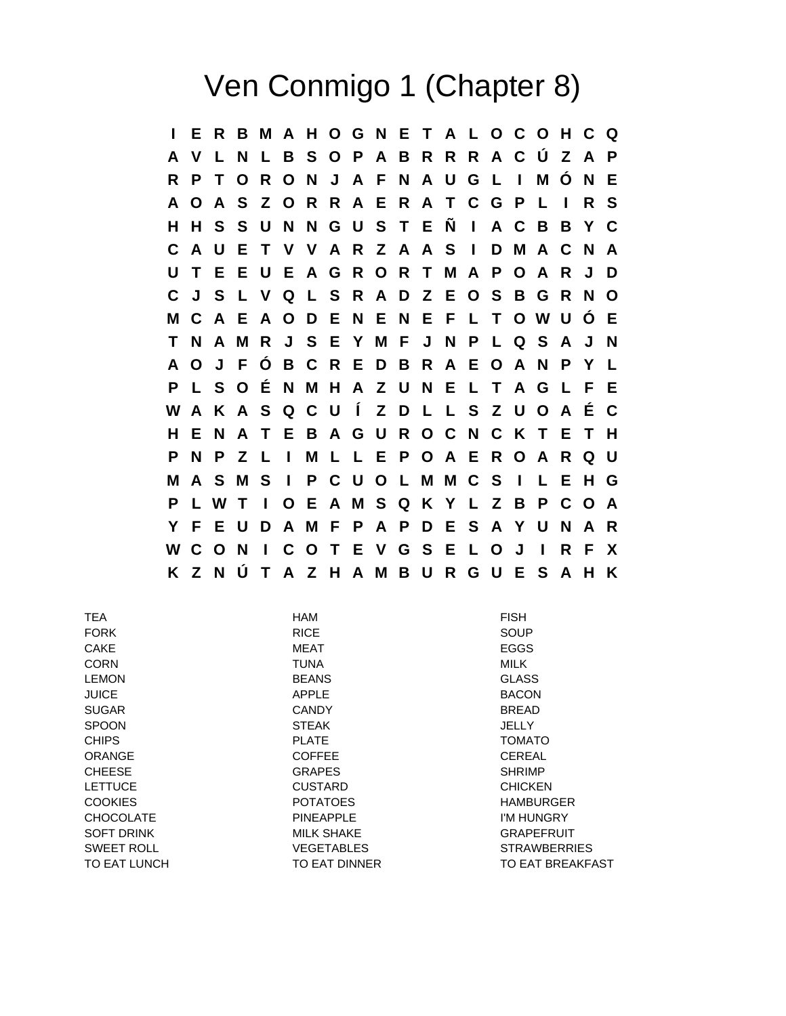## Ven Conmigo 1 (Chapter 8)

**I E R B M A H O G N E T A L O C O H C Q A V L N L B S O P A B R R R A C Ú Z A P R P T O R O N J A F N A U G L I M Ó N E A O A S Z O R R A E R A T C G P L I R S H H S S U N N G U S T E Ñ I A C B B Y C C A U E T V V A R Z A A S I D M A C N A U T E E U E A G R O R T M A P O A R J D C J S L V Q L S R A D Z E O S B G R N O M C A E A O D E N E N E F L T O W U Ó E T N A M R J S E Y M F J N P L Q S A J N A O J F Ó B C R E D B R A E O A N P Y L P L S O É N M H A Z U N E L T A G L F E W A K A S Q C U Í Z D L L S Z U O A É C H E N A T E B A G U R O C N C K T E T H P N P Z L I M L L E P O A E R O A R Q U M A S M S I P C U O L M M C S I L E H G P L W T I O E A M S Q K Y L Z B P C O A Y F E U D A M F P A P D E S A Y U N A R W C O N I C O T E V G S E L O J I R F X K Z N Ú T A Z H A M B U R G U E S A H K**

| TEA               | HAM               | <b>FISH</b>         |
|-------------------|-------------------|---------------------|
| <b>FORK</b>       | <b>RICE</b>       | SOUP                |
| <b>CAKE</b>       | MEAT              | <b>EGGS</b>         |
| <b>CORN</b>       | <b>TUNA</b>       | MILK                |
| <b>LEMON</b>      | <b>BEANS</b>      | <b>GLASS</b>        |
| <b>JUICE</b>      | <b>APPLE</b>      | <b>BACON</b>        |
| <b>SUGAR</b>      | <b>CANDY</b>      | <b>BREAD</b>        |
| <b>SPOON</b>      | <b>STEAK</b>      | <b>JELLY</b>        |
| <b>CHIPS</b>      | <b>PLATE</b>      | <b>TOMATO</b>       |
| <b>ORANGE</b>     | <b>COFFEE</b>     | <b>CEREAL</b>       |
| <b>CHEESE</b>     | <b>GRAPES</b>     | <b>SHRIMP</b>       |
| <b>LETTUCE</b>    | <b>CUSTARD</b>    | <b>CHICKEN</b>      |
| <b>COOKIES</b>    | <b>POTATOES</b>   | <b>HAMBURGER</b>    |
| <b>CHOCOLATE</b>  | <b>PINEAPPLE</b>  | I'M HUNGRY          |
| <b>SOFT DRINK</b> | <b>MILK SHAKE</b> | <b>GRAPEFRUIT</b>   |
| SWEET ROLL        | <b>VEGETABLES</b> | <b>STRAWBERRIES</b> |
| TO EAT LUNCH      | TO EAT DINNER     | TO EAT BREAKFAST    |